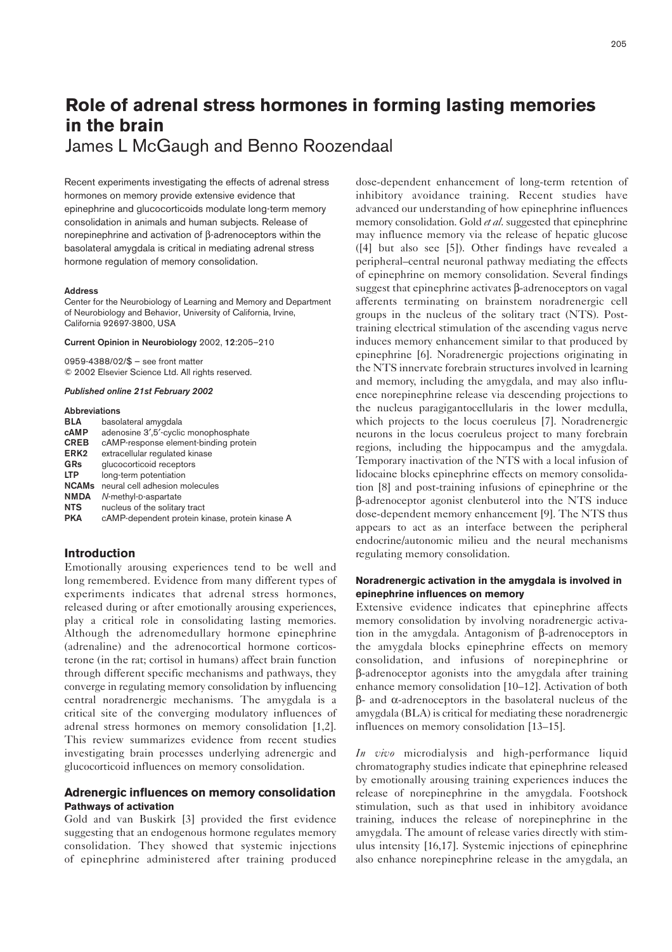# **Role of adrenal stress hormones in forming lasting memories in the brain**

James L McGaugh and Benno Roozendaal

Recent experiments investigating the effects of adrenal stress hormones on memory provide extensive evidence that epinephrine and glucocorticoids modulate long-term memory consolidation in animals and human subjects. Release of norepinephrine and activation of β-adrenoceptors within the basolateral amygdala is critical in mediating adrenal stress hormone regulation of memory consolidation.

#### **Address**

Center for the Neurobiology of Learning and Memory and Department of Neurobiology and Behavior, University of California, Irvine, California 92697-3800, USA

#### **Current Opinion in Neurobiology** 2002, **12**:205–210

0959-4388/02/\$ — see front matter © 2002 Elsevier Science Ltd. All rights reserved.

#### *Published online 21st February 2002*

#### **Abbreviations**

| <b>BLA</b>       | basolateral amygdala                            |
|------------------|-------------------------------------------------|
| cAMP             | adenosine 3',5'-cyclic monophosphate            |
| <b>CREB</b>      | cAMP-response element-binding protein           |
| ERK <sub>2</sub> | extracellular regulated kinase                  |
| GRs              | glucocorticoid receptors                        |
| <b>LTP</b>       | long-term potentiation                          |
| <b>NCAMs</b>     | neural cell adhesion molecules                  |
| <b>NMDA</b>      | N-methyl-D-aspartate                            |
| <b>NTS</b>       | nucleus of the solitary tract                   |
| <b>PKA</b>       | cAMP-dependent protein kinase, protein kinase A |
|                  |                                                 |

# **Introduction**

Emotionally arousing experiences tend to be well and long remembered. Evidence from many different types of experiments indicates that adrenal stress hormones, released during or after emotionally arousing experiences, play a critical role in consolidating lasting memories. Although the adrenomedullary hormone epinephrine (adrenaline) and the adrenocortical hormone corticosterone (in the rat; cortisol in humans) affect brain function through different specific mechanisms and pathways, they converge in regulating memory consolidation by influencing central noradrenergic mechanisms. The amygdala is a critical site of the converging modulatory influences of adrenal stress hormones on memory consolidation [1,2]. This review summarizes evidence from recent studies investigating brain processes underlying adrenergic and glucocorticoid influences on memory consolidation.

## **Adrenergic influences on memory consolidation Pathways of activation**

Gold and van Buskirk [3] provided the first evidence suggesting that an endogenous hormone regulates memory consolidation. They showed that systemic injections of epinephrine administered after training produced dose-dependent enhancement of long-term retention of inhibitory avoidance training. Recent studies have advanced our understanding of how epinephrine influences memory consolidation. Gold *et al*. suggested that epinephrine may influence memory via the release of hepatic glucose ([4] but also see [5]). Other findings have revealed a peripheral–central neuronal pathway mediating the effects of epinephrine on memory consolidation. Several findings suggest that epinephrine activates β-adrenoceptors on vagal afferents terminating on brainstem noradrenergic cell groups in the nucleus of the solitary tract (NTS). Posttraining electrical stimulation of the ascending vagus nerve induces memory enhancement similar to that produced by epinephrine [6]. Noradrenergic projections originating in the NTS innervate forebrain structures involved in learning and memory, including the amygdala, and may also influence norepinephrine release via descending projections to the nucleus paragigantocellularis in the lower medulla, which projects to the locus coeruleus [7]. Noradrenergic neurons in the locus coeruleus project to many forebrain regions, including the hippocampus and the amygdala. Temporary inactivation of the NTS with a local infusion of lidocaine blocks epinephrine effects on memory consolidation [8] and post-training infusions of epinephrine or the β-adrenoceptor agonist clenbuterol into the NTS induce dose-dependent memory enhancement [9]. The NTS thus appears to act as an interface between the peripheral endocrine/autonomic milieu and the neural mechanisms regulating memory consolidation.

## **Noradrenergic activation in the amygdala is involved in epinephrine influences on memory**

Extensive evidence indicates that epinephrine affects memory consolidation by involving noradrenergic activation in the amygdala. Antagonism of β-adrenoceptors in the amygdala blocks epinephrine effects on memory consolidation, and infusions of norepinephrine or β-adrenoceptor agonists into the amygdala after training enhance memory consolidation [10–12]. Activation of both β- and α-adrenoceptors in the basolateral nucleus of the amygdala (BLA) is critical for mediating these noradrenergic influences on memory consolidation [13–15].

*In vivo* microdialysis and high-performance liquid chromatography studies indicate that epinephrine released by emotionally arousing training experiences induces the release of norepinephrine in the amygdala. Footshock stimulation, such as that used in inhibitory avoidance training, induces the release of norepinephrine in the amygdala. The amount of release varies directly with stimulus intensity [16,17]. Systemic injections of epinephrine also enhance norepinephrine release in the amygdala, an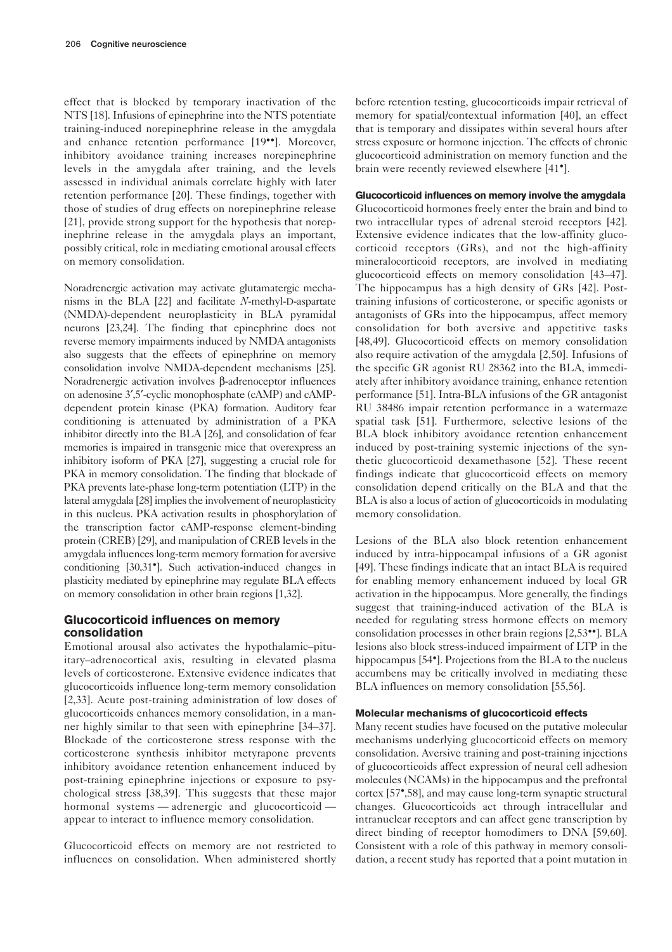effect that is blocked by temporary inactivation of the NTS [18]. Infusions of epinephrine into the NTS potentiate training-induced norepinephrine release in the amygdala and enhance retention performance [19••]. Moreover, inhibitory avoidance training increases norepinephrine levels in the amygdala after training, and the levels assessed in individual animals correlate highly with later retention performance [20]. These findings, together with those of studies of drug effects on norepinephrine release [21], provide strong support for the hypothesis that norepinephrine release in the amygdala plays an important, possibly critical, role in mediating emotional arousal effects on memory consolidation.

Noradrenergic activation may activate glutamatergic mechanisms in the BLA [22] and facilitate *N*-methyl-D-aspartate (NMDA)-dependent neuroplasticity in BLA pyramidal neurons [23,24]. The finding that epinephrine does not reverse memory impairments induced by NMDA antagonists also suggests that the effects of epinephrine on memory consolidation involve NMDA-dependent mechanisms [25]. Noradrenergic activation involves β-adrenoceptor influences on adenosine 3′,5′-cyclic monophosphate (cAMP) and cAMPdependent protein kinase (PKA) formation. Auditory fear conditioning is attenuated by administration of a PKA inhibitor directly into the BLA [26], and consolidation of fear memories is impaired in transgenic mice that overexpress an inhibitory isoform of PKA [27], suggesting a crucial role for PKA in memory consolidation. The finding that blockade of PKA prevents late-phase long-term potentiation (LTP) in the lateral amygdala [28] implies the involvement of neuroplasticity in this nucleus. PKA activation results in phosphorylation of the transcription factor cAMP-response element-binding protein (CREB) [29], and manipulation of CREB levels in the amygdala influences long-term memory formation for aversive conditioning [30,31•]. Such activation-induced changes in plasticity mediated by epinephrine may regulate BLA effects on memory consolidation in other brain regions [1,32].

# **Glucocorticoid influences on memory consolidation**

Emotional arousal also activates the hypothalamic–pituitary–adrenocortical axis, resulting in elevated plasma levels of corticosterone. Extensive evidence indicates that glucocorticoids influence long-term memory consolidation [2,33]. Acute post-training administration of low doses of glucocorticoids enhances memory consolidation, in a manner highly similar to that seen with epinephrine [34–37]. Blockade of the corticosterone stress response with the corticosterone synthesis inhibitor metyrapone prevents inhibitory avoidance retention enhancement induced by post-training epinephrine injections or exposure to psychological stress [38,39]. This suggests that these major hormonal systems — adrenergic and glucocorticoid appear to interact to influence memory consolidation.

Glucocorticoid effects on memory are not restricted to influences on consolidation. When administered shortly before retention testing, glucocorticoids impair retrieval of memory for spatial/contextual information [40], an effect that is temporary and dissipates within several hours after stress exposure or hormone injection. The effects of chronic glucocorticoid administration on memory function and the brain were recently reviewed elsewhere [41•].

## **Glucocorticoid influences on memory involve the amygdala**

Glucocorticoid hormones freely enter the brain and bind to two intracellular types of adrenal steroid receptors [42]. Extensive evidence indicates that the low-affinity glucocorticoid receptors (GRs), and not the high-affinity mineralocorticoid receptors, are involved in mediating glucocorticoid effects on memory consolidation [43–47]. The hippocampus has a high density of GRs [42]. Posttraining infusions of corticosterone, or specific agonists or antagonists of GRs into the hippocampus, affect memory consolidation for both aversive and appetitive tasks [48,49]. Glucocorticoid effects on memory consolidation also require activation of the amygdala [2,50]. Infusions of the specific GR agonist RU 28362 into the BLA, immediately after inhibitory avoidance training, enhance retention performance [51]. Intra-BLA infusions of the GR antagonist RU 38486 impair retention performance in a watermaze spatial task [51]. Furthermore, selective lesions of the BLA block inhibitory avoidance retention enhancement induced by post-training systemic injections of the synthetic glucocorticoid dexamethasone [52]. These recent findings indicate that glucocorticoid effects on memory consolidation depend critically on the BLA and that the BLA is also a locus of action of glucocorticoids in modulating memory consolidation.

Lesions of the BLA also block retention enhancement induced by intra-hippocampal infusions of a GR agonist [49]. These findings indicate that an intact BLA is required for enabling memory enhancement induced by local GR activation in the hippocampus. More generally, the findings suggest that training-induced activation of the BLA is needed for regulating stress hormone effects on memory consolidation processes in other brain regions [2,53••]. BLA lesions also block stress-induced impairment of LTP in the hippocampus [54<sup>•</sup>]. Projections from the BLA to the nucleus accumbens may be critically involved in mediating these BLA influences on memory consolidation [55,56].

#### **Molecular mechanisms of glucocorticoid effects**

Many recent studies have focused on the putative molecular mechanisms underlying glucocorticoid effects on memory consolidation. Aversive training and post-training injections of glucocorticoids affect expression of neural cell adhesion molecules (NCAMs) in the hippocampus and the prefrontal cortex [57•,58], and may cause long-term synaptic structural changes. Glucocorticoids act through intracellular and intranuclear receptors and can affect gene transcription by direct binding of receptor homodimers to DNA [59,60]. Consistent with a role of this pathway in memory consolidation, a recent study has reported that a point mutation in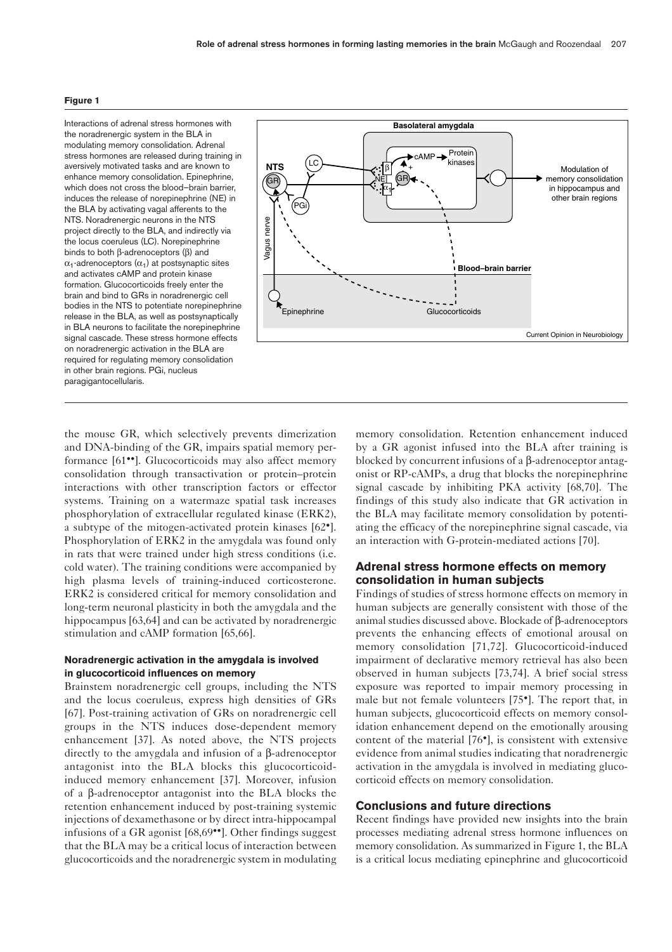#### **Figure 1**

Interactions of adrenal stress hormones with the noradrenergic system in the BLA in modulating memory consolidation. Adrenal stress hormones are released during training in aversively motivated tasks and are known to enhance memory consolidation. Epinephrine, which does not cross the blood–brain barrier, induces the release of norepinephrine (NE) in the BLA by activating vagal afferents to the NTS. Noradrenergic neurons in the NTS project directly to the BLA, and indirectly via the locus coeruleus (LC). Norepinephrine binds to both β-adrenoceptors (β) and  $\alpha_1$ -adrenoceptors  $(\alpha_1)$  at postsynaptic sites and activates cAMP and protein kinase formation. Glucocorticoids freely enter the brain and bind to GRs in noradrenergic cell bodies in the NTS to potentiate norepinephrine release in the BLA, as well as postsynaptically in BLA neurons to facilitate the norepinephrine signal cascade. These stress hormone effects on noradrenergic activation in the BLA are required for regulating memory consolidation in other brain regions. PGi, nucleus paragigantocellularis.



the mouse GR, which selectively prevents dimerization and DNA-binding of the GR, impairs spatial memory performance [61••]. Glucocorticoids may also affect memory consolidation through transactivation or protein–protein interactions with other transcription factors or effector systems. Training on a watermaze spatial task increases phosphorylation of extracellular regulated kinase (ERK2), a subtype of the mitogen-activated protein kinases [62•]. Phosphorylation of ERK2 in the amygdala was found only in rats that were trained under high stress conditions (i.e. cold water). The training conditions were accompanied by high plasma levels of training-induced corticosterone. ERK2 is considered critical for memory consolidation and long-term neuronal plasticity in both the amygdala and the hippocampus [63,64] and can be activated by noradrenergic stimulation and cAMP formation [65,66].

## **Noradrenergic activation in the amygdala is involved in glucocorticoid influences on memory**

Brainstem noradrenergic cell groups, including the NTS and the locus coeruleus, express high densities of GRs [67]. Post-training activation of GRs on noradrenergic cell groups in the NTS induces dose-dependent memory enhancement [37]. As noted above, the NTS projects directly to the amygdala and infusion of a β-adrenoceptor antagonist into the BLA blocks this glucocorticoidinduced memory enhancement [37]. Moreover, infusion of a β-adrenoceptor antagonist into the BLA blocks the retention enhancement induced by post-training systemic injections of dexamethasone or by direct intra-hippocampal infusions of a GR agonist [68,69••]. Other findings suggest that the BLA may be a critical locus of interaction between glucocorticoids and the noradrenergic system in modulating

memory consolidation. Retention enhancement induced by a GR agonist infused into the BLA after training is blocked by concurrent infusions of a β-adrenoceptor antagonist or RP-cAMPs, a drug that blocks the norepinephrine signal cascade by inhibiting PKA activity [68,70]. The findings of this study also indicate that GR activation in the BLA may facilitate memory consolidation by potentiating the efficacy of the norepinephrine signal cascade, via an interaction with G-protein-mediated actions [70].

# **Adrenal stress hormone effects on memory consolidation in human subjects**

Findings of studies of stress hormone effects on memory in human subjects are generally consistent with those of the animal studies discussed above. Blockade of β-adrenoceptors prevents the enhancing effects of emotional arousal on memory consolidation [71,72]. Glucocorticoid-induced impairment of declarative memory retrieval has also been observed in human subjects [73,74]. A brief social stress exposure was reported to impair memory processing in male but not female volunteers [75•]. The report that, in human subjects, glucocorticoid effects on memory consolidation enhancement depend on the emotionally arousing content of the material [76•], is consistent with extensive evidence from animal studies indicating that noradrenergic activation in the amygdala is involved in mediating glucocorticoid effects on memory consolidation.

## **Conclusions and future directions**

Recent findings have provided new insights into the brain processes mediating adrenal stress hormone influences on memory consolidation. As summarized in Figure 1, the BLA is a critical locus mediating epinephrine and glucocorticoid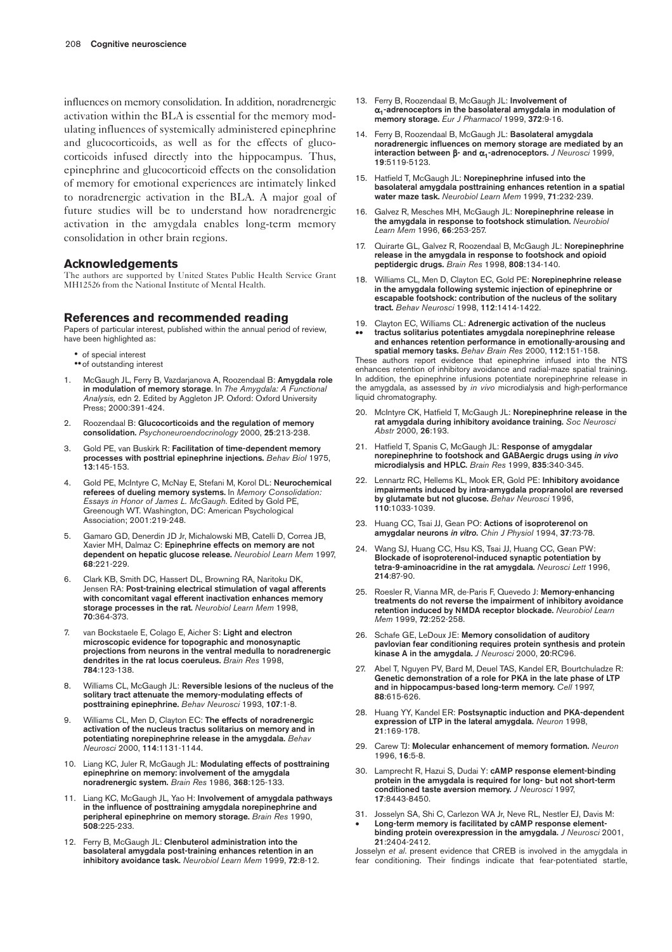influences on memory consolidation. In addition, noradrenergic activation within the BLA is essential for the memory modulating influences of systemically administered epinephrine and glucocorticoids, as well as for the effects of glucocorticoids infused directly into the hippocampus. Thus, epinephrine and glucocorticoid effects on the consolidation of memory for emotional experiences are intimately linked to noradrenergic activation in the BLA. A major goal of future studies will be to understand how noradrenergic activation in the amygdala enables long-term memory consolidation in other brain regions.

### **Acknowledgements**

The authors are supported by United States Public Health Service Grant MH12526 from the National Institute of Mental Health.

#### **References and recommended reading**

Papers of particular interest, published within the annual period of review, have been highlighted as:

- of special interest
- •• of outstanding interest
- 1. McGaugh JL, Ferry B, Vazdarjanova A, Roozendaal B: **Amygdala role in modulation of memory storage**. In *The Amygdala: A Functional Analysis,* edn 2. Edited by Aggleton JP. Oxford: Oxford University Press; 2000:391-424.
- 2. Roozendaal B: **Glucocorticoids and the regulation of memory consolidation.** *Psychoneuroendocrinology* 2000, **25**:213-238.
- 3. Gold PE, van Buskirk R: **Facilitation of time-dependent memory processes with posttrial epinephrine injections.** *Behav Biol* 1975, **13**:145-153.
- 4. Gold PE, McIntyre C, McNay E, Stefani M, Korol DL: **Neurochemical referees of dueling memory systems.** In *Memory Consolidation: Essays in Honor of James L. McGaugh*. Edited by Gold PE, Greenough WT. Washington, DC: American Psychological Association; 2001:219-248.
- 5. Gamaro GD, Denerdin JD Jr, Michalowski MB, Catelli D, Correa JB, Xavier MH, Dalmaz C: **Epinephrine effects on memory are not dependent on hepatic glucose release.** *Neurobiol Learn Mem* 1997, **68**:221-229.
- 6. Clark KB, Smith DC, Hassert DL, Browning RA, Naritoku DK, Jensen RA: **Post-training electrical stimulation of vagal afferents with concomitant vagal efferent inactivation enhances memory storage processes in the rat.** *Neurobiol Learn Mem* 1998, **70**:364-373.
- 7. van Bockstaele E, Colago E, Aicher S: **Light and electron microscopic evidence for topographic and monosynaptic projections from neurons in the ventral medulla to noradrenergic dendrites in the rat locus coeruleus.** *Brain Res* 1998, **784**:123-138.
- 8. Williams CL, McGaugh JL: **Reversible lesions of the nucleus of the solitary tract attenuate the memory-modulating effects of posttraining epinephrine.** *Behav Neurosci* 1993, **107**:1-8.
- 9. Williams CL, Men D, Clayton EC: **The effects of noradrenergic activation of the nucleus tractus solitarius on memory and in potentiating norepinephrine release in the amygdala.** *Behav Neurosci* 2000, **114**:1131-1144.
- 10. Liang KC, Juler R, McGaugh JL: **Modulating effects of posttraining epinephrine on memory: involvement of the amygdala noradrenergic system.** *Brain Res* 1986, **368**:125-133.
- 11. Liang KC, McGaugh JL, Yao H: **Involvement of amygdala pathways in the influence of posttraining amygdala norepinephrine and peripheral epinephrine on memory storage.** *Brain Res* 1990, **508**:225-233.
- 12. Ferry B, McGaugh JL: **Clenbuterol administration into the basolateral amygdala post-training enhances retention in an inhibitory avoidance task.** *Neurobiol Learn Mem* 1999, **72**:8-12.
- 13. Ferry B, Roozendaal B, McGaugh JL: **Involvement of** α**1-adrenoceptors in the basolateral amygdala in modulation of memory storage.** *Eur J Pharmacol* 1999, **372**:9-16.
- 14. Ferry B, Roozendaal B, McGaugh JL: **Basolateral amygdala noradrenergic influences on memory storage are mediated by an interaction between** β**- and** α**1-adrenoceptors.** *J Neurosci* 1999, **19**:5119-5123.
- 15. Hatfield T, McGaugh JL: **Norepinephrine infused into the basolateral amygdala posttraining enhances retention in a spatial water maze task.** *Neurobiol Learn Mem* 1999, **71**:232-239.
- 16. Galvez R, Mesches MH, McGaugh JL: **Norepinephrine release in the amygdala in response to footshock stimulation.** *Neurobiol Learn Mem* 1996, **66**:253-257.
- 17. Quirarte GL, Galvez R, Roozendaal B, McGaugh JL: **Norepinephrine release in the amygdala in response to footshock and opioid peptidergic drugs.** *Brain Res* 1998, **808**:134-140.
- 18. Williams CL, Men D, Clayton EC, Gold PE: **Norepinephrine release in the amygdala following systemic injection of epinephrine or escapable footshock: contribution of the nucleus of the solitary tract.** *Behav Neurosci* 1998, **112**:1414-1422.
- 19. Clayton EC, Williams CL: **Adrenergic activation of the nucleus**
- •• **tractus solitarius potentiates amygdala norepinephrine release and enhances retention performance in emotionally-arousing and spatial memory tasks.** *Behav Brain Res* 2000, **112**:151-158.

These authors report evidence that epinephrine infused into the NTS enhances retention of inhibitory avoidance and radial-maze spatial training. In addition, the epinephrine infusions potentiate norepinephrine release in the amygdala, as assessed by *in vivo* microdialysis and high-performance liquid chromatography.

- 20. McIntyre CK, Hatfield T, McGaugh JL: **Norepinephrine release in the rat amygdala during inhibitory avoidance training.** *Soc Neurosci Abstr* 2000, **26**:193.
- 21. Hatfield T, Spanis C, McGaugh JL: **Response of amygdalar norepinephrine to footshock and GABAergic drugs using** *in vivo* **microdialysis and HPLC.** *Brain Res* 1999, **835**:340-345.
- 22. Lennartz RC, Hellems KL, Mook ER, Gold PE: **Inhibitory avoidance impairments induced by intra-amygdala propranolol are reversed by glutamate but not glucose.** *Behav Neurosci* 1996, **110**:1033-1039.
- 23. Huang CC, Tsai JJ, Gean PO: **Actions of isoproterenol on amygdalar neurons** *in vitro***.** *Chin J Physiol* 1994, **37**:73-78.
- 24. Wang SJ, Huang CC, Hsu KS, Tsai JJ, Huang CC, Gean PW: **Blockade of isoproterenol-induced synaptic potentiation by tetra-9-aminoacridine in the rat amygdala.** *Neurosci Lett* 1996, **214**:87-90.
- 25. Roesler R, Vianna MR, de-Paris F, Quevedo J: **Memory-enhancing treatments do not reverse the impairment of inhibitory avoidance retention induced by NMDA receptor blockade.** *Neurobiol Learn Mem* 1999, **72**:252-258.
- 26. Schafe GE, LeDoux JE: **Memory consolidation of auditory pavlovian fear conditioning requires protein synthesis and protein kinase A in the amygdala.** *J Neurosci* 2000, **20**:RC96.
- Abel T, Nguyen PV, Bard M, Deuel TAS, Kandel ER, Bourtchuladze R: **Genetic demonstration of a role for PKA in the late phase of LTP and in hippocampus-based long-term memory.** *Cell* 1997, **88**:615-626.
- 28. Huang YY, Kandel ER: **Postsynaptic induction and PKA-dependent expression of LTP in the lateral amygdala.** *Neuron* 1998, **21**:169-178.
- 29. Carew TJ: **Molecular enhancement of memory formation.** *Neuron* 1996, **16**:5-8.
- 30. Lamprecht R, Hazui S, Dudai Y: **cAMP response element-binding protein in the amygdala is required for long- but not short-term conditioned taste aversion memory.** *J Neurosci* 1997, **17**:8443-8450.
- 31. Josselyn SA, Shi C, Carlezon WA Jr, Neve RL, Nestler EJ, Davis M: Long-term memory is facilitated by cAMP response element**binding protein overexpression in the amygdala.** *J Neurosci* 2001, **21**:2404-2412.

Josselyn *et al*. present evidence that CREB is involved in the amygdala in fear conditioning. Their findings indicate that fear-potentiated startle,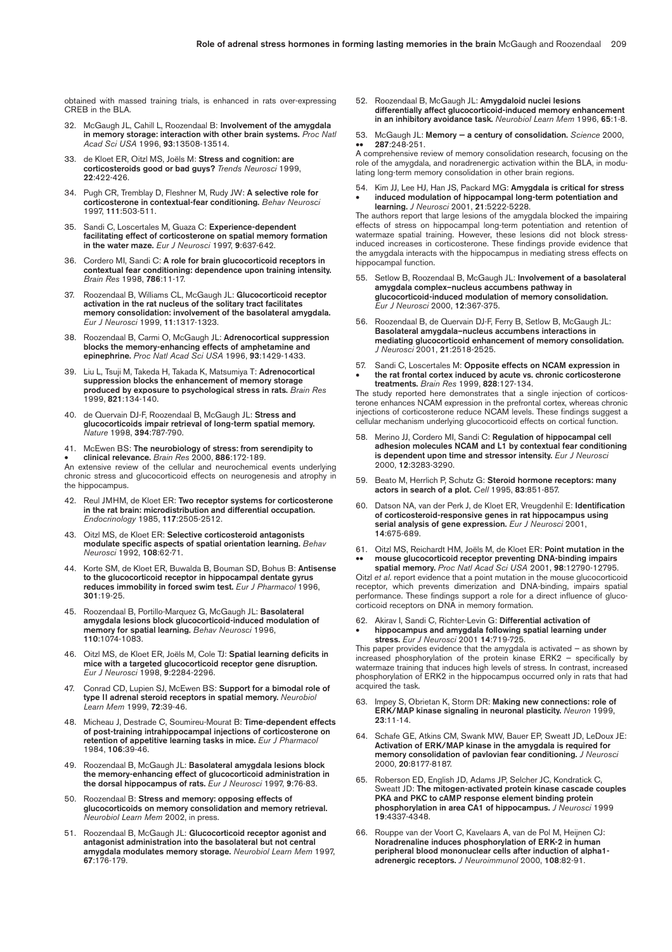obtained with massed training trials, is enhanced in rats over-expressing CREB in the BLA.

- 32. McGaugh JL, Cahill L, Roozendaal B: **Involvement of the amygdala in memory storage: interaction with other brain systems.** *Proc Natl Acad Sci USA* 1996, **93**:13508-13514.
- 33. de Kloet ER, Oitzl MS, Joëls M: **Stress and cognition: are corticosteroids good or bad guys?** *Trends Neurosci* 1999, **22**:422-426.
- 34. Pugh CR, Tremblay D, Fleshner M, Rudy JW: **A selective role for corticosterone in contextual-fear conditioning.** *Behav Neurosci* 1997, **111**:503-511.
- 35. Sandi C, Loscertales M, Guaza C: **Experience-dependent facilitating effect of corticosterone on spatial memory formation in the water maze.** *Eur J Neurosci* 1997, **9**:637-642.
- 36. Cordero MI, Sandi C: **A role for brain glucocorticoid receptors in contextual fear conditioning: dependence upon training intensity.** *Brain Res* 1998, **786**:11-17.
- 37. Roozendaal B, Williams CL, McGaugh JL: **Glucocorticoid receptor activation in the rat nucleus of the solitary tract facilitates memory consolidation: involvement of the basolateral amygdala.** *Eur J Neurosci* 1999, **11**:1317-1323.
- 38. Roozendaal B, Carmi O, McGaugh JL: **Adrenocortical suppression blocks the memory-enhancing effects of amphetamine and epinephrine.** *Proc Natl Acad Sci USA* 1996, **93**:1429-1433.
- 39. Liu L, Tsuji M, Takeda H, Takada K, Matsumiya T: **Adrenocortical suppression blocks the enhancement of memory storage produced by exposure to psychological stress in rats.** *Brain Res* 1999, **821**:134-140.
- 40. de Quervain DJ-F, Roozendaal B, McGaugh JL: **Stress and glucocorticoids impair retrieval of long-term spatial memory.** *Nature* 1998, **394**:787-790.
- 41. McEwen BS: **The neurobiology of stress: from serendipity to** • **clinical relevance.** *Brain Res* 2000, **886**:172-189.

An extensive review of the cellular and neurochemical events underlying chronic stress and glucocorticoid effects on neurogenesis and atrophy in the hippocampus.

- 42. Reul JMHM, de Kloet ER: **Two receptor systems for corticosterone in the rat brain: microdistribution and differential occupation.** *Endocrinology* 1985, **117**:2505-2512.
- 43. Oitzl MS, de Kloet ER: **Selective corticosteroid antagonists modulate specific aspects of spatial orientation learning.** *Behav Neurosci* 1992, **108**:62-71.
- 44. Korte SM, de Kloet ER, Buwalda B, Bouman SD, Bohus B: **Antisense to the glucocorticoid receptor in hippocampal dentate gyrus reduces immobility in forced swim test.** *Eur J Pharmacol* 1996, **301**:19-25.
- 45. Roozendaal B, Portillo-Marquez G, McGaugh JL: **Basolateral amygdala lesions block glucocorticoid-induced modulation of memory for spatial learning.** *Behav Neurosci* 1996, **110**:1074-1083.
- 46. Oitzl MS, de Kloet ER, Joëls M, Cole TJ: **Spatial learning deficits in mice with a targeted glucocorticoid receptor gene disruption.** *Eur J Neurosci* 1998, **9**:2284-2296.
- 47. Conrad CD, Lupien SJ, McEwen BS: **Support for a bimodal role of type II adrenal steroid receptors in spatial memory.** *Neurobiol Learn Mem* 1999, **72**:39-46.
- 48. Micheau J, Destrade C, Soumireu-Mourat B: **Time-dependent effects of post-training intrahippocampal injections of corticosterone on retention of appetitive learning tasks in mice.** *Eur J Pharmacol* 1984, **106**:39-46.
- 49. Roozendaal B, McGaugh JL: **Basolateral amygdala lesions block the memory-enhancing effect of glucocorticoid administration in the dorsal hippocampus of rats.** *Eur J Neurosci* 1997, **9**:76-83.
- 50. Roozendaal B: **Stress and memory: opposing effects of glucocorticoids on memory consolidation and memory retrieval.** *Neurobiol Learn Mem* 2002, in press.
- 51. Roozendaal B, McGaugh JL: **Glucocorticoid receptor agonist and antagonist administration into the basolateral but not central amygdala modulates memory storage.** *Neurobiol Learn Mem* 1997, **67**:176-179.

52. Roozendaal B, McGaugh JL: **Amygdaloid nuclei lesions differentially affect glucocorticoid-induced memory enhancement in an inhibitory avoidance task.** *Neurobiol Learn Mem* 1996, **65**:1-8.

53. McGaugh JL: **Memory — a century of consolidation.** *Science* 2000, •• **287**:248-251.

A comprehensive review of memory consolidation research, focusing on the role of the amygdala, and noradrenergic activation within the BLA, in modulating long-term memory consolidation in other brain regions.

54. Kim JJ, Lee HJ, Han JS, Packard MG: **Amygdala is critical for stress** • **induced modulation of hippocampal long-term potentiation and learning.** *J Neurosci* 2001, **21**:5222-5228.

The authors report that large lesions of the amygdala blocked the impairing effects of stress on hippocampal long-term potentiation and retention of watermaze spatial training. However, these lesions did not block stressinduced increases in corticosterone. These findings provide evidence that the amygdala interacts with the hippocampus in mediating stress effects on hippocampal function.

- 55. Setlow B, Roozendaal B, McGaugh JL: **Involvement of a basolateral amygdala complex–nucleus accumbens pathway in glucocorticoid-induced modulation of memory consolidation.** *Eur J Neurosci* 2000, **12**:367-375.
- 56. Roozendaal B, de Quervain DJ-F, Ferry B, Setlow B, McGaugh JL: **Basolateral amygdala–nucleus accumbens interactions in mediating glucocorticoid enhancement of memory consolidation.** *J Neurosci* 2001, **21**:2518-2525.
- 57. Sandi C, Loscertales M: **Opposite effects on NCAM expression in**  • **the rat frontal cortex induced by acute vs. chronic corticosterone treatments.** *Brain Res* 1999, **828**:127-134.

The study reported here demonstrates that a single injection of corticosterone enhances NCAM expression in the prefrontal cortex, whereas chronic injections of corticosterone reduce NCAM levels. These findings suggest a cellular mechanism underlying glucocorticoid effects on cortical function.

- 58. Merino JJ, Cordero MI, Sandi C: **Regulation of hippocampal cell adhesion molecules NCAM and L1 by contextual fear conditioning is dependent upon time and stressor intensity.** *Eur J Neurosci* 2000, **12**:3283-3290.
- 59. Beato M, Herrlich P, Schutz G: **Steroid hormone receptors: many actors in search of a plot.** *Cell* 1995, **83**:851-857.
- 60. Datson NA, van der Perk J, de Kloet ER, Vreugdenhil E: **Identification of corticosteroid-responsive genes in rat hippocampus using serial analysis of gene expression.** *Eur J Neurosci* 2001, **14**:675-689.
- 61. Oitzl MS, Reichardt HM, Joëls M, de Kloet ER: **Point mutation in the** •• **mouse glucocorticoid receptor preventing DNA-binding impairs**

**spatial memory.** *Proc Natl Acad Sci USA* 2001, **98**:12790-12795. Oitzl *et al*. report evidence that a point mutation in the mouse glucocorticoid receptor, which prevents dimerization and DNA-binding, impairs spatial performance. These findings support a role for a direct influence of glucocorticoid receptors on DNA in memory formation.

62. Akirav I, Sandi C, Richter-Levin G: **Differential activation of** • **hippocampus and amygdala following spatial learning under stress.** *Eur J Neurosci* 2001 **14**:719-725.

This paper provides evidence that the amygdala is activated — as shown by increased phosphorylation of the protein kinase ERK2 — specifically by watermaze training that induces high levels of stress. In contrast, increased phosphorylation of ERK2 in the hippocampus occurred only in rats that had acquired the task.

- 63. Impey S, Obrietan K, Storm DR: **Making new connections: role of ERK/MAP kinase signaling in neuronal plasticity.** *Neuron* 1999, **23**:11-14.
- 64. Schafe GE, Atkins CM, Swank MW, Bauer EP, Sweatt JD, LeDoux JE: **Activation of ERK/MAP kinase in the amygdala is required for memory consolidation of pavlovian fear conditioning.** *J Neurosci* 2000, **20**:8177-8187.
- 65. Roberson ED, English JD, Adams JP, Selcher JC, Kondratick C, Sweatt JD: **The mitogen-activated protein kinase cascade couples PKA and PKC to cAMP response element binding protein phosphorylation in area CA1 of hippocampus.** *J Neurosci* 1999 **19**:4337-4348.
- 66. Rouppe van der Voort C, Kavelaars A, van de Pol M, Heijnen CJ: **Noradrenaline induces phosphorylation of ERK-2 in human peripheral blood mononuclear cells after induction of alpha1 adrenergic receptors.** *J Neuroimmunol* 2000, **108**:82-91.